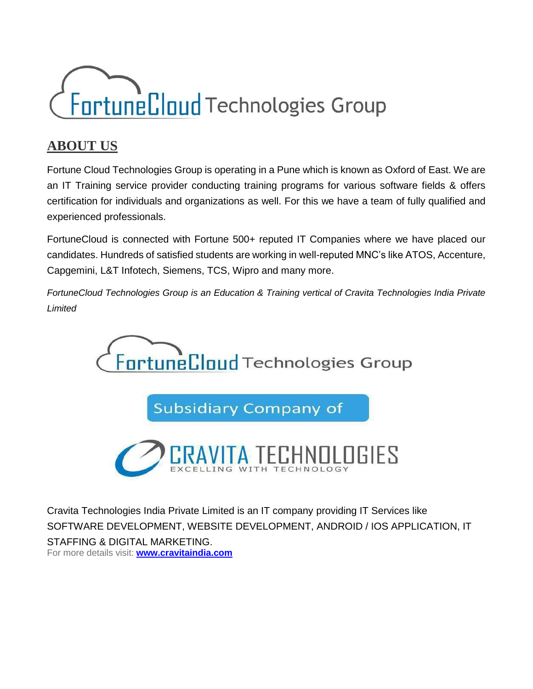

#### **ABOUT US**

Fortune Cloud Technologies Group is operating in a Pune which is known as Oxford of East. We are an IT Training service provider conducting training programs for various software fields & offers certification for individuals and organizations as well. For this we have a team of fully qualified and experienced professionals.

FortuneCloud is connected with Fortune 500+ reputed IT Companies where we have placed our candidates. Hundreds of satisfied students are working in well-reputed MNC's like ATOS, Accenture, Capgemini, L&T Infotech, Siemens, TCS, Wipro and many more.

*FortuneCloud Technologies Group is an Education & Training vertical of Cravita Technologies India Private Limited*



**Subsidiary Company of** 



Cravita Technologies India Private Limited is an IT company providing IT Services like SOFTWARE DEVELOPMENT, WEBSITE DEVELOPMENT, ANDROID / IOS APPLICATION, IT STAFFING & DIGITAL MARKETING. For more details visit: **[www.cravitaindia.com](http://www.cravitaindia.com/)**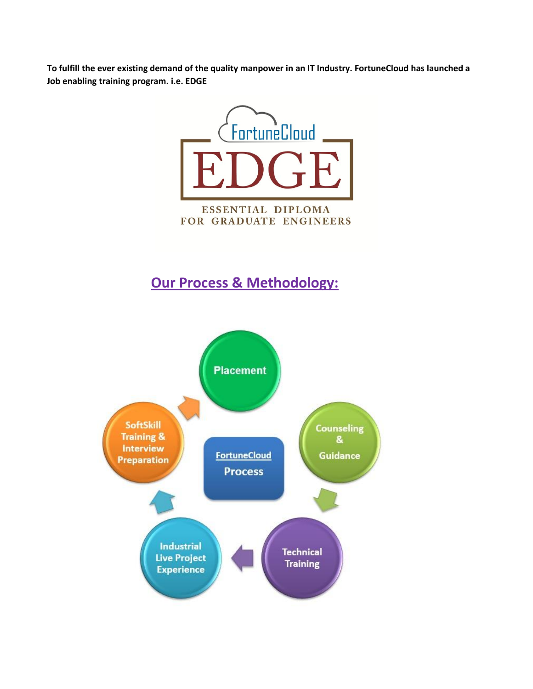**To fulfill the ever existing demand of the quality manpower in an IT Industry. FortuneCloud has launched a Job enabling training program. i.e. EDGE**



### **Our Process & Methodology:**

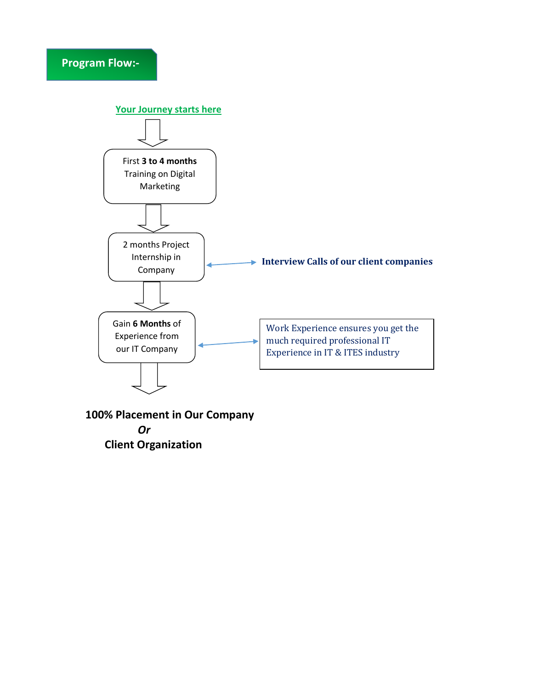

 **100% Placement in Our Company**  *Or*  **Client Organization**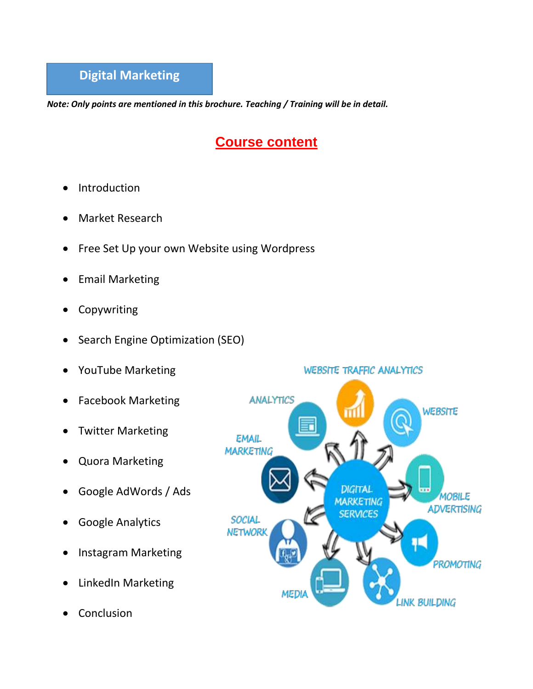*Note: Only points are mentioned in this brochure. Teaching / Training will be in detail.*

## **Course content**

- Introduction
- Market Research
- Free Set Up your own Website using Wordpress
- Email Marketing
- Copywriting
- Search Engine Optimization (SEO)
- YouTube Marketing
- Facebook Marketing
- Twitter Marketing
- Quora Marketing
- Google AdWords / Ads
- Google Analytics
- Instagram Marketing
- LinkedIn Marketing
- Conclusion

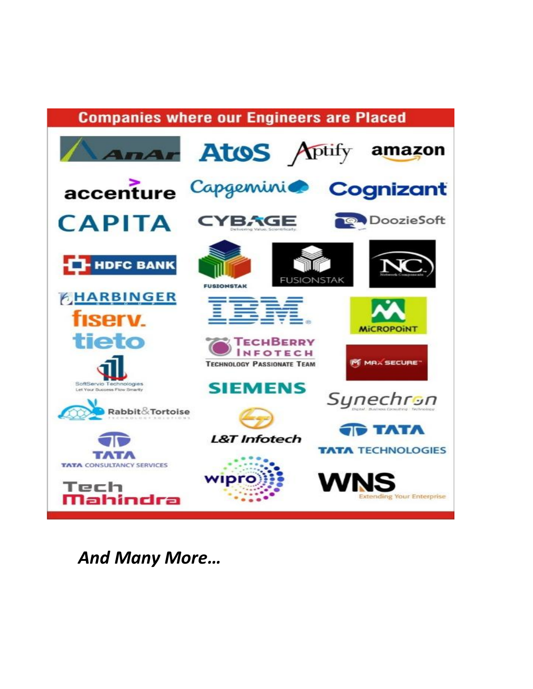

**And Many More...**